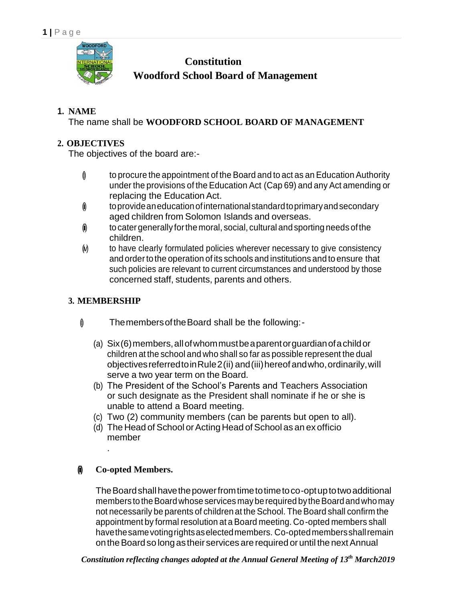

**Constitution Woodford School Board of Management**

# **1. NAME**

The name shall be **WOODFORD SCHOOL BOARD OF MANAGEMENT**

# **2. OBJECTIVES**

The objectives of the board are:-

- $\emptyset$  to procure the appointment of the Board and to act as an Education Authority under the provisions of the Education Act (Cap 69) and any Act amending or replacing the Education Act.
- $\hat{\phi}$  toprovide an education of international standard to primary and secondary aged children from Solomon Islands and overseas.
- $\hat{\mathbf{u}}$  to cater generally for the moral, social, cultural and sporting needs of the children.
- (i) to have clearly formulated policies wherever necessary to give consistency and order to the operation of its schools and institutions and to ensure that such policies are relevant to current circumstances and understood by those concerned staff, students, parents and others.

# **3. MEMBERSHIP**

- $\emptyset$  Themembers of the Board shall be the following:-
	- (a) Six(6)members,allofwhommustbeaparentorguardianofachildor children at the school and who shall so far as possible represent the dual objectives referredto in Rule 2(ii) and (iii) hereof and who, ordinarily, will serve a two year term on the Board.
	- (b) The President of the School's Parents and Teachers Association or such designate as the President shall nominate if he or she is unable to attend a Board meeting.
	- (c) Two (2) community members (can be parents but open to all).
	- $(d)$  The Head of School or Acting Head of School as an ex officio member

# **(ii) Co-opted Members.**

.

TheBoardshallhavethepowerfromtimetotimetoco-optuptotwoadditional members to the Board whose services may be required by the Board and who may not necessarily be parents of children at the School. The Board shall confirm the appointment by formal resolution at a Board meeting. Co-opted members shall havethesamevotingrightsaselectedmembers. Co-optedmembersshallremain on the Board so long as their services are required or until the next Annual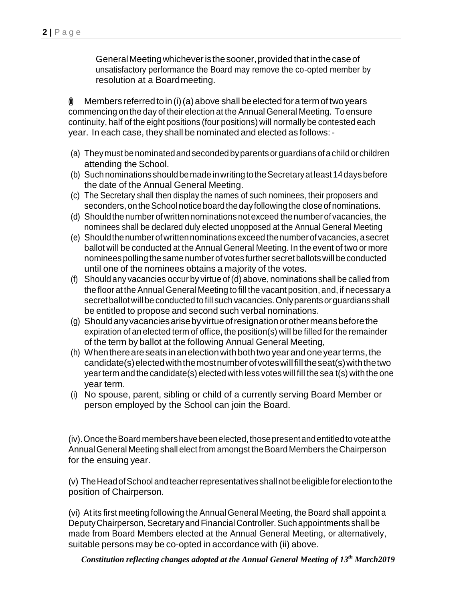General Meeting whichever is the sooner, provided that in the case of unsatisfactory performance the Board may remove the co-opted member by resolution at a Boardmeeting.

 $\phi$  Members referred to in (i) (a) above shall be elected for a term of two years commencing on the day of their election at the Annual General Meeting. To ensure continuity, half of the eight positions (four positions) will normally be contested each year. In each case, they shall be nominated and elected as follows:-

- (a) Theymustbenominatedand secondedbyparentsorguardians ofachild orchildren attending the School.
- (b) Suchnominations shouldbemade inwritingtotheSecretaryat least14daysbefore the date of the Annual General Meeting.
- (c) The Secretary shall then display the names of such nominees, their proposers and seconders, on the School notice board the day following the close of nominations.
- (d) Shouldthenumber ofwrittennominations notexceed thenumberof vacancies, the nominees shall be declared duly elected unopposed at the Annual General Meeting
- (e) Shouldthenumberofwrittennominationsexceed thenumberofvacancies, asecret ballot will be conducted at the Annual General Meeting. In the event of two or more nomineespollingthesame number of votes further secretballotswill be conducted until one of the nominees obtains a majority of the votes.
- (f) Should any vacancies occur by virtue of(d) above, nominations shall be called from the floor at the Annual General Meeting to fill the vacant position, and, if necessary a secretballot will be conducted tofill such vacancies.Onlyparents orguardians shall be entitled to propose and second such verbal nominations.
- (g) Shouldanyvacanciesarisebyvirtueofresignationorothermeansbeforethe expiration of an elected term of office, the position(s) will be filled for the remainder of the term by ballot at the following Annual General Meeting,
- (h) When there are seats in an election with both two year and one year terms, the candidate(s)electedwiththemostnumberofvoteswillfilltheseat(s)withthetwo yearterm and the candidate(s) elected with less votes will fill the sea t(s) with the one year term.
- (i) No spouse, parent, sibling or child of a currently serving Board Member or person employed by the School can join the Board.

(iv).OncetheBoardmembershavebeenelected,thosepresentandentitledtovoteatthe AnnualGeneral Meeting shall elect from amongst theBoard Members theChairperson for the ensuing year.

(v) TheHeadofSchool andteacherrepresentatives shallnotbeeligibleforelectiontothe position of Chairperson.

(vi) At its first meeting following the Annual General Meeting, the Board shall appoint a Deputy Chairperson, Secretary and Financial Controller. Such appointments shall be made from Board Members elected at the Annual General Meeting, or alternatively, suitable persons may be co-opted in accordance with (ii) above.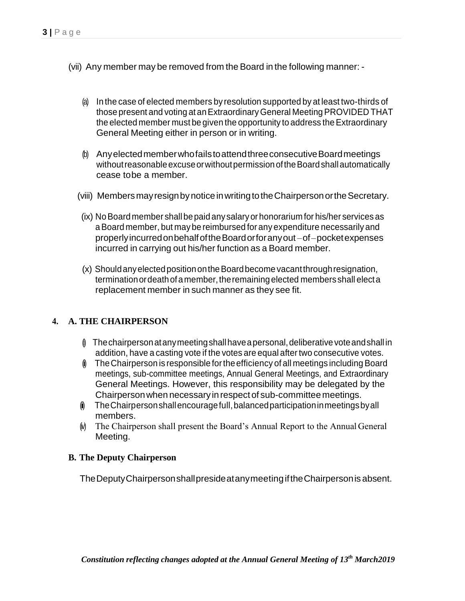- (vii) Any member may be removed from the Board in the following manner: -
	- (a) In the case of elected members by resolution supported by at least two-thirds of those present and voting at an Extraordinary General Meeting PROVIDED THAT the elected member must be given the opportunity to address the Extraordinary General Meeting either in person or in writing.
	- (b) AnyelectedmemberwhofailstoattendthreeconsecutiveBoardmeetings without reasonable excuse or without permission of the Board shall automatically cease tobe a member.
	- (viii) Members may resign by notice in writing to the Chairperson or the Secretary.
	- (ix) NoBoard member shallbepaid anysalaryorhonorarium for his/her services as aBoard member, but maybe reimbursed for any expenditure necessarily and properlyincurredonbehalfoftheBoardorforanyout –of–pocketexpenses incurred in carrying out his/her function as a Board member.
	- (x) ShouldanyelectedpositionontheBoardbecome vacantthroughresignation, terminationordeathofamember,theremaining elected members shall electa replacement member in such manner as they see fit.

### **4. A. THE CHAIRPERSON**

- $\emptyset$  The chairperson at any meeting shall have a personal, deliberative vote and shall in addition, have a casting vote if the votes are equal after two consecutive votes.
- $\emptyset$  The Chairperson is responsible for the efficiency of all meetings including Board meetings, sub-committee meetings, Annual General Meetings, and Extraordinary General Meetings. However, this responsibility may be delegated by the Chairpersonwhen necessary inrespect of sub-committee meetings.
- $i$  The Chairperson shall encourage full, balanced participation in meetings by all members.
- $\phi$  The Chairperson shall present the Board's Annual Report to the Annual General Meeting.

#### **B. The Deputy Chairperson**

TheDeputyChairpersonshallpresideatanymeetingiftheChairpersonis absent.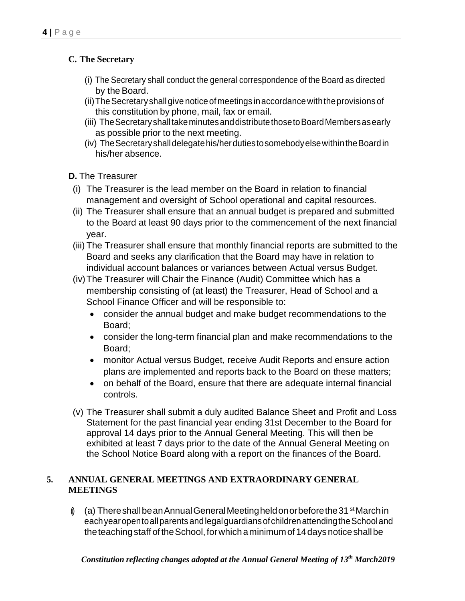# **C. The Secretary**

- (i) The Secretary shall conduct the general correspondence of the Board as directed by the Board.
- (ii)TheSecretaryshallgive noticeofmeetings inaccordancewiththeprovisions of this constitution by phone, mail, fax or email.
- (iii) The Secretary shall take minutes and distribute those to Board Members as early as possible prior to the next meeting.
- (iv) TheSecretaryshalldelegatehis/herdutiestosomebodyelsewithintheBoardin his/her absence.

**D.** The Treasurer

- (i) The Treasurer is the lead member on the Board in relation to financial management and oversight of School operational and capital resources.
- (ii) The Treasurer shall ensure that an annual budget is prepared and submitted to the Board at least 90 days prior to the commencement of the next financial year.
- (iii) The Treasurer shall ensure that monthly financial reports are submitted to the Board and seeks any clarification that the Board may have in relation to individual account balances or variances between Actual versus Budget.
- (iv)The Treasurer will Chair the Finance (Audit) Committee which has a membership consisting of (at least) the Treasurer, Head of School and a School Finance Officer and will be responsible to:
	- consider the annual budget and make budget recommendations to the Board;
	- consider the long-term financial plan and make recommendations to the Board;
	- monitor Actual versus Budget, receive Audit Reports and ensure action plans are implemented and reports back to the Board on these matters;
	- on behalf of the Board, ensure that there are adequate internal financial controls.
- (v) The Treasurer shall submit a duly audited Balance Sheet and Profit and Loss Statement for the past financial year ending 31st December to the Board for approval 14 days prior to the Annual General Meeting. This will then be exhibited at least 7 days prior to the date of the Annual General Meeting on the School Notice Board along with a report on the finances of the Board.

### **5. ANNUAL GENERAL MEETINGS AND EXTRAORDINARY GENERAL MEETINGS**

 $\emptyset$  (a) There shall be an Annual General Meeting held on or before the 31 st March in eachyearopentoallparents andlegalguardiansofchildrenattendingtheSchooland the teaching staff of the School, for which a minimum of 14 days notice shall be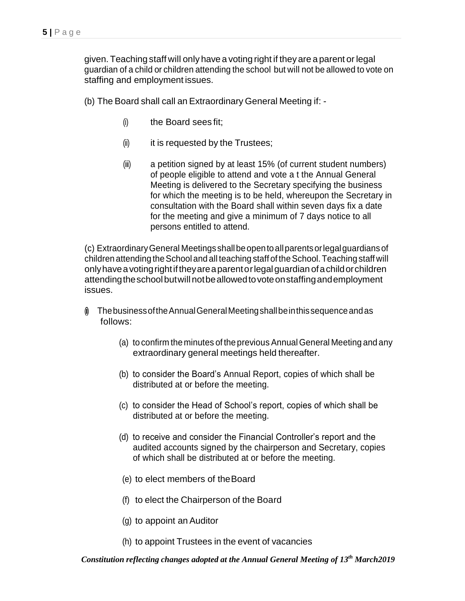given. Teaching staff will only have a voting right if theyare a parent or legal guardian of a child or children attending the school but will not be allowed to vote on staffing and employment issues.

(b) The Board shall call an Extraordinary General Meeting if: -

- (i) the Board sees fit;
- $(ii)$  it is requested by the Trustees;
- (iii) a petition signed by at least 15% (of current student numbers) of people eligible to attend and vote a t the Annual General Meeting is delivered to the Secretary specifying the business for which the meeting is to be held, whereupon the Secretary in consultation with the Board shall within seven days fix a date for the meeting and give a minimum of 7 days notice to all persons entitled to attend.

(c) ExtraordinaryGeneral Meetings shallbeopentoallparentsorlegalguardiansof children attending the School and all teaching staff of the School. Teaching staff will onlyhaveavotingrightiftheyareaparentorlegalguardian ofachildorchildren attendingtheschoolbutwill notbeallowedtovoteonstaffingandemployment issues.

- $\emptyset$  The business of the Annual General Meeting shall be in this sequence and as follows:
	- (a) to confirm the minutes of the previous AnnualGeneral Meeting and any extraordinary general meetings held thereafter.
	- (b) to consider the Board's Annual Report, copies of which shall be distributed at or before the meeting.
	- (c) to consider the Head of School's report, copies of which shall be distributed at or before the meeting.
	- (d) to receive and consider the Financial Controller's report and the audited accounts signed by the chairperson and Secretary, copies of which shall be distributed at or before the meeting.
	- (e) to elect members of theBoard
	- (f) to elect the Chairperson of the Board
	- (g) to appoint an Auditor
	- (h) to appoint Trustees in the event of vacancies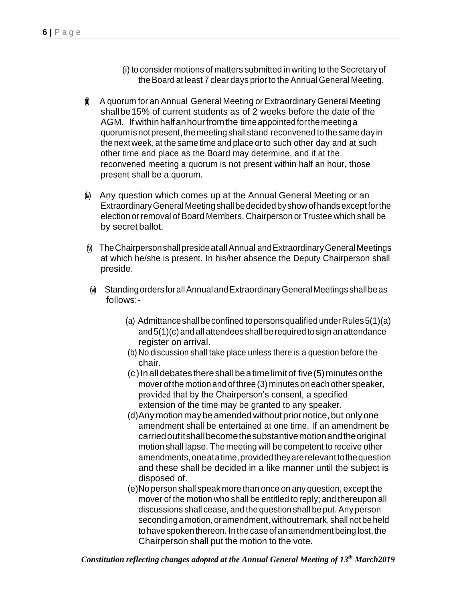- (i) to consider motions of matters submitted in writing to the Secretary of the Board at least 7 clear days prior to the Annual General Meeting.
- $\phi$  A quorum for an Annual General Meeting or Extraordinary General Meeting shallbe15% of current students as of 2 weeks before the date of the AGM. Ifwithinhalfanhourfromthe timeappointedforthemeetinga quorum is not present, the meeting shall stand reconvened to the same day in the next week, at the same time and place orto such other day and at such other time and place as the Board may determine, and if at the reconvened meeting a quorum is not present within half an hour, those present shall be a quorum.
- (i) Any question which comes up at the Annual General Meeting or an ExtraordinaryGeneral Meetingshallbedecidedbyshowof handsexceptforthe election or removal of Board Members, Chairperson or Trustee which shall be by secret ballot.
- (v) TheChairpersonshallpresideatallAnnual andExtraordinaryGeneralMeetings at which he/she is present. In his/her absence the Deputy Chairperson shall preside.
- (vi) Standing orders for all Annual and Extraordinary General Meetings shall beas follows:-
	- (a) Admittance shall be confined to persons qualified under Rules  $5(1)(a)$ and5(1)(c) and all attendees shall berequired tosign an attendance register on arrival.
	- (b) No discussion shall take place unless there is a question before the chair.
	- $(c)$  In all debates there shall be a time limit of five (5) minutes on the mover of the motion and of three(3) minuteson each other speaker, provided that by the Chairperson's consent, a specified extension of the time may be granted to any speaker.
	- (d)Anymotionmaybeamended withoutprior notice, but onlyone amendment shall be entertained at one time. If an amendment be carriedoutitshallbecomethesubstantivemotionandtheoriginal motion shall lapse. The meeting will be competent to receive other amendments,oneatatime,providedtheyarerelevanttothequestion and these shall be decided in a like manner until the subject is disposed of.
	- (e)No person shall speak more than once on any question, except the mover of the motion who shall be entitled to reply; and thereupon all discussions shall cease, and the question shall be put. Any person seconding a motion, or amendment, without remark, shall not be held to have spoken thereon. In the case of an amendment being lost, the Chairperson shall put the motion to the vote.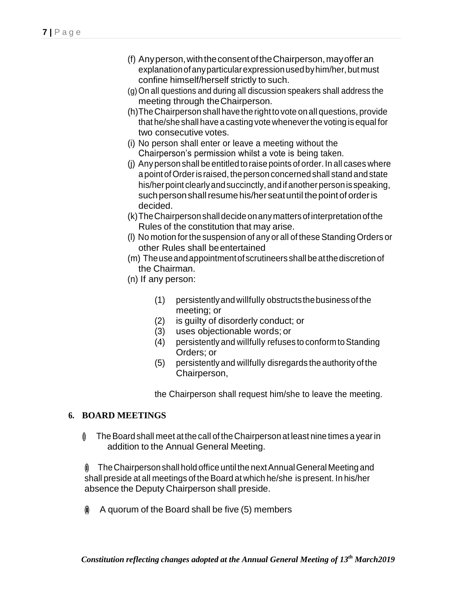- (f) Anyperson,withtheconsentoftheChairperson,mayofferan explanation of any particular expression used by him/her, but must confine himself/herself strictly to such.
- (g)On all questions and during all discussion speakers shall address the meeting through theChairperson.
- (h)TheChairperson shall havethe rightto vote onall questions, provide that he/she shall havea casting votewheneverthe voting is equal for two consecutive votes.
- (i) No person shall enter or leave a meeting without the Chairperson's permission whilst a vote is being taken.
- (j) Anyperson shall be entitledtoraise points of order.In all cases where a point of Order is raised, the person concerned shall stand and state his/herpoint clearly and succinctly, and if another person is speaking, such person shall resume his/her seat until the point of order is decided.
- (k)TheChairpersonshalldecideonanymattersofinterpretationofthe Rules of the constitution that may arise.
- (I) No motion for the suspension of any or all of these Standing Orders or other Rules shall beentertained
- (m) Theuseandappointmentofscrutineers shallbeatthediscretion of the Chairman.
- (n) If any person:
	- (1) persistentlyand willfully obstructsthebusiness ofthe meeting; or
	- (2) is guilty of disorderly conduct; or
	- (3) uses objectionable words; or
	- (4) persistently and willfully refuses to conformtoStanding Orders; or
	- (5) persistently and willfully disregards the authority of the Chairperson,

the Chairperson shall request him/she to leave the meeting.

# **6. BOARD MEETINGS**

 $\emptyset$  The Board shall meet at the call of the Chairperson at least nine times a year in addition to the Annual General Meeting.

 $\emptyset$  The Chairperson shall hold office until the next Annual General Meeting and shall preside at all meetings of the Board at which he/she is present. In his/her absence the Deputy Chairperson shall preside.

 $\phi$  A quorum of the Board shall be five (5) members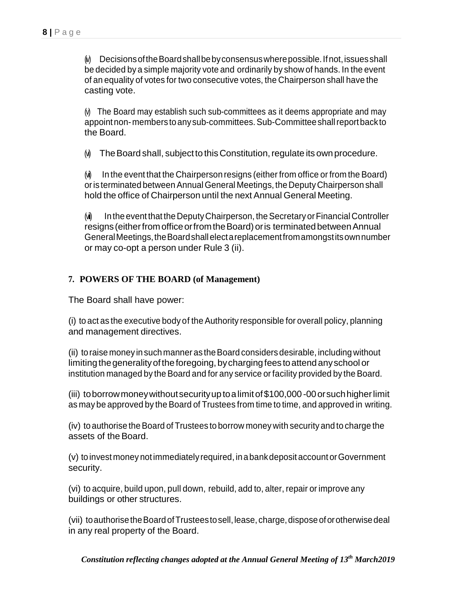$[$ i $)$  Decisions of the Board shall be by consensus where possible. If not, issues shall be decided by a simple majority vote and ordinarily by show of hands. In the event of an equality of votes for two consecutive votes, the Chairperson shall have the casting vote.

 $(N)$  The Board may establish such sub-committees as it deems appropriate and may appoint non-members to any sub-committees. Sub-Committee shall report back to the Board.

 $(N)$  The Board shall, subject to this Constitution, regulate its own procedure.

 $\omega$  In the event that the Chairperson resigns (either from office or from the Board) or is terminated between Annual General Meetings, the Deputy Chairperson shall hold the office of Chairperson until the next Annual General Meeting.

(vi) In the event that the Deputy Chairperson, the Secretary or Financial Controller resigns(eitherfromofficeorfromtheBoard)oris terminatedbetweenAnnual GeneralMeetings,theBoardshallelectareplacementfromamongstitsownnumber or may co-opt a person under Rule 3 (ii).

### **7. POWERS OF THE BOARD (of Management)**

The Board shall have power:

(i) to act as the executive body of theAuthority responsible for overall policy, planning and management directives.

(ii) toraise money in suchmanner as theBoard considers desirable, including without limiting the generality of the foregoing, by charging fees to attend any school or institution managed by the Board and for any service or facility provided by the Board.

(iii) toborrowmoneywithoutsecurityuptoalimitof\$100,000-00orsuchhigherlimit as may be approved by the Board of Trustees from time to time, and approved in writing.

(iv) to authorise theBoard of Trustees to borrow money with security and to charge the assets of the Board.

(v) toinvest money notimmediately required, inabankdeposit account orGovernment security.

(vi) to acquire, build upon, pull down, rebuild, add to, alter, repair or improve any buildings or other structures.

(vii) to authorise the Board of Trustees to sell, lease, charge, dispose of or otherwise deal in any real property of the Board.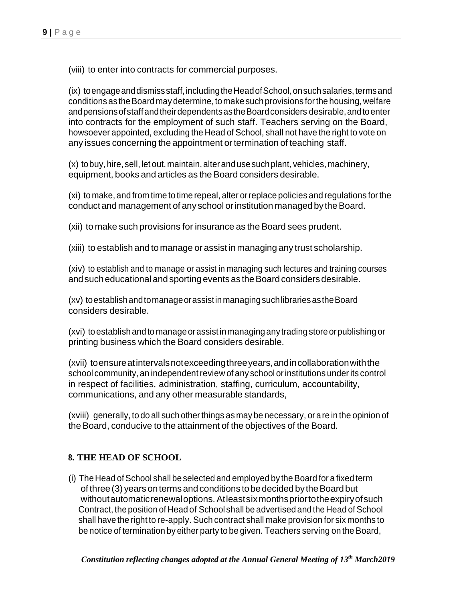(viii) to enter into contracts for commercial purposes.

(ix) toengageanddismissstaff,includingtheHeadofSchool,onsuchsalaries,termsand conditions as the Board may determine, to make such provisions for the housing, welfare and pensions of staff and their dependents as the Board considers desirable, and to enter into contracts for the employment of such staff. Teachers serving on the Board, howsoever appointed, excluding the Head of School, shall not have the right to vote on any issues concerning the appointment or termination of teaching staff.

(x) tobuy, hire, sell, let out, maintain, alter and use such plant, vehicles, machinery, equipment, books and articles as the Board considers desirable.

(xi) to make, and from time to time repeal, alter orreplace policies and regulations forthe conduct and management of any school or institution managed by the Board.

(xii) to make such provisions for insurance as the Board sees prudent.

(xiii) to establish and to manage or assist in managing any trust scholarship.

(xiv) to establish and to manage or assist in managing such lectures and training courses and such educational and sporting events as the Board considers desirable.

(xv) toestablishandtomanageorassistinmanagingsuchlibrariesastheBoard considers desirable.

(xvi) toestablishandto manageorassistinmanaging anytradingstoreorpublishing or printing business which the Board considers desirable.

(xvii) toensureatintervalsnotexceedingthreeyears,andincollaborationwiththe school community, an independent review of any school or institutions under its control in respect of facilities, administration, staffing, curriculum, accountability, communications, and any other measurable standards,

(xviii) generally, to do all such otherthings as may be necessary, or are in the opinion of the Board, conducive to the attainment of the objectives of the Board.

#### **8. THE HEAD OF SCHOOL**

(i) The Head of School shall be selected and employed by the Board for a fixed term of three (3) years on terms and conditions to be decided by the Board but without automatic renewal options. At least six monthsprior to the expiry of such Contract, the position of Head of School shall be advertised and the Head of School shall have the right to re-apply. Such contract shall make provision for six months to be notice of termination by either party to be given. Teachers serving on the Board,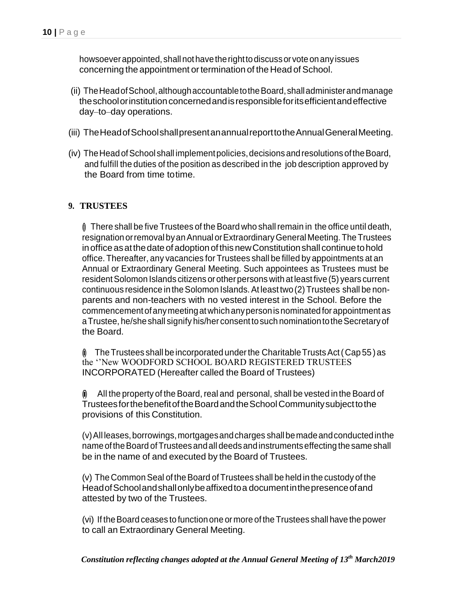howsoever appointed, shall not have the right to discuss or vote on any issues concerning the appointment or termination of the Head of School.

- (ii) TheHeadofSchool,althoughaccountabletotheBoard,shalladministerandmanage the school or institution concerned and is responsible for its efficient and effective day–to–day operations.
- (iii) TheHeadofSchoolshallpresentanannualreporttotheAnnualGeneralMeeting.
- (iv) The Head of School shall implement policies, decisions and resolutions of the Board, and fulfill the duties of the position as described in the job description approved by the Board from time totime.

#### **9. TRUSTEES**

 $\emptyset$  There shall be five Trustees of the Board who shall remain in the office until death, resignation or removal by an Annual or Extraordinary General Meeting. The Trustees in office as at the date of adoption of this new Constitution shall continue to hold office. Thereafter, any vacancies for Trustees shall be filled by appointments at an Annual or Extraordinary General Meeting. Such appointees as Trustees must be resident Solomon Islands citizens or other persons with at least five (5) years current continuous residence in theSolomon Islands.At least two(2) Trustees shall be nonparents and non-teachers with no vested interest in the School. Before the commencement ofanymeetingatwhichanypersonis nominatedforappointment as a Trustee, he/she shall signify his/her consent to such nomination to the Secretary of the Board.

 $\hat{p}$  The Trustees shall be incorporated under the Charitable Trusts Act (Cap 55) as the ''New WOODFORD SCHOOL BOARD REGISTERED TRUSTEES INCORPORATED (Hereafter called the Board of Trustees)

 $\hat{\mathbf{u}}$  All the property of the Board, real and personal, shall be vested in the Board of TrusteesforthebenefitoftheBoardandtheSchoolCommunitysubjecttothe provisions of this Constitution.

(v)All leases,borrowings,mortgagesandcharges shallbemadeandconductedinthe name of the Board of Trustees and all deeds and instruments effecting the same shall be in the name of and executed by the Board of Trustees.

(v) The Common Seal of the Board of Trustees shall be held in the custody of the HeadofSchoolandshallonlybeaffixedtoa documentinthepresenceofand attested by two of the Trustees.

(vi) If theBoard ceases to functionone or more of the Trustees shall have the power to call an Extraordinary General Meeting.